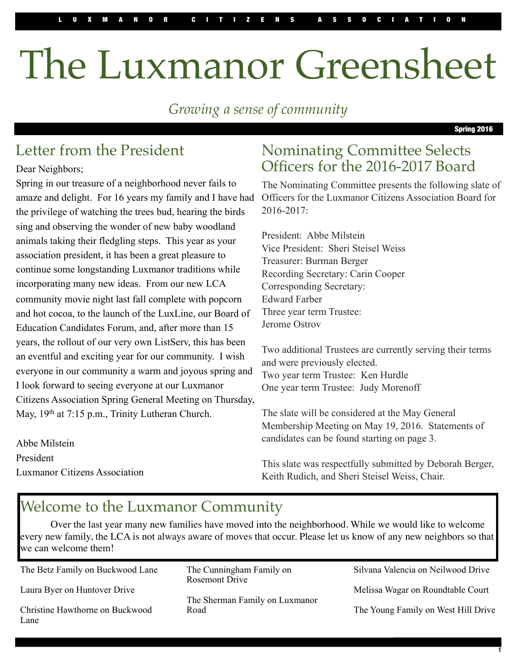# The Luxmanor Greensheet

*Growing a sense of community*

Spring 2016

## Letter from the President

Dear Neighbors;

Spring in our treasure of a neighborhood never fails to amaze and delight. For 16 years my family and I have had the privilege of watching the trees bud, hearing the birds sing and observing the wonder of new baby woodland animals taking their fledgling steps. This year as your association president, it has been a great pleasure to continue some longstanding Luxmanor traditions while incorporating many new ideas. From our new LCA community movie night last fall complete with popcorn and hot cocoa, to the launch of the LuxLine, our Board of Education Candidates Forum, and, after more than 15 years, the rollout of our very own ListServ, this has been an eventful and exciting year for our community. I wish everyone in our community a warm and joyous spring and I look forward to seeing everyone at our Luxmanor Citizens Association Spring General Meeting on Thursday, May, 19<sup>th</sup> at 7:15 p.m., Trinity Lutheran Church.

Abbe Milstein President Luxmanor Citizens Association

## Nominating Committee Selects Officers for the 2016-2017 Board

The Nominating Committee presents the following slate of Officers for the Luxmanor Citizens Association Board for  $2016 - 2017$ 

President: Abbe Milstein Vice President: Sheri Steisel Weiss Treasurer: Burman Berger Recording Secretary: Carin Cooper Corresponding Secretary: Edward Farber Three year term Trustee: Jerome Ostrov

Two additional Trustees are currently serving their terms and were previously elected. Two year term Trustee: Ken Hurdle One year term Trustee: Judy Morenoff

The slate will be considered at the May General Membership Meeting on May 19, 2016. Statements of candidates can be found starting on page 3.

This slate was respectfully submitted by Deborah Berger, Keith Rudich, and Sheri Steisel Weiss, Chair.

## Welcome to the Luxmanor Community

Over the last year many new families have moved into the neighborhood. While we would like to welcome every new family, the LCA is not always aware of moves that occur. Please let us know of any new neighbors so that we can welcome them!

The Betz Family on Buckwood Lane Laura Byer on Huntover Drive Christine Hawthorne on Buckwood Lane

The Cunningham Family on Rosemont Drive

The Sherman Family on Luxmanor Road

Silvana Valencia on Neilwood Drive

Melissa Wagar on Roundtable Court

The Young Family on West Hill Drive

1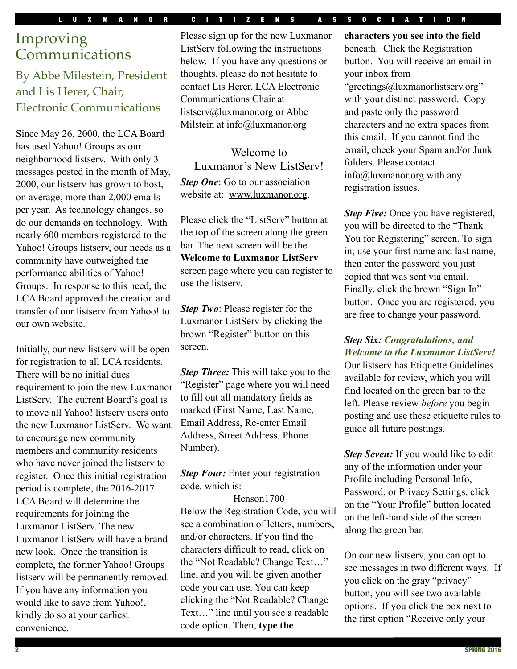#### LUXMANOR CITIZENS ASSOCIATION

## Improving Communications

#### By Abbe Milestein, President and Lis Herer, Chair, Electronic Communications

Since May 26, 2000, the LCA Board has used Yahoo! Groups as our neighborhood listserv. With only 3 messages posted in the month of May, 2000, our listserv has grown to host, on average, more than 2,000 emails per year. As technology changes, so do our demands on technology. With nearly 600 members registered to the Yahoo! Groups listserv, our needs as a community have outweighed the performance abilities of Yahoo! Groups. In response to this need, the LCA Board approved the creation and transfer of our listserv from Yahoo! to our own website.

Initially, our new listserv will be open for registration to all LCA residents. There will be no initial dues requirement to join the new Luxmanor ListServ. The current Board's goal is to move all Yahoo! listserv users onto the new Luxmanor ListServ. We want to encourage new community members and community residents who have never joined the listserv to register. Once this initial registration period is complete, the 2016-2017 LCA Board will determine the requirements for joining the Luxmanor ListServ. The new Luxmanor ListServ will have a brand new look. Once the transition is complete, the former Yahoo! Groups listserv will be permanently removed. If you have any information you would like to save from Yahoo!, kindly do so at your earliest convenience.

Please sign up for the new Luxmanor ListServ following the instructions below. If you have any questions or thoughts, please do not hesitate to contact Lis Herer, LCA Electronic Communications Chair at listserv@luxmanor.org or Abbe Milstein at info@luxmanor.org

Welcome to Luxmanor's New ListServ! *Step One:* Go to our association website at: www.luxmanor.org.

Please click the "ListServ" button at the top of the screen along the green bar. The next screen will be the **Welcome to Luxmanor ListServ** screen page where you can register to use the listserv.

*Step Two:* Please register for the Luxmanor ListServ by clicking the brown "Register" button on this screen.

*Step Three:* This will take you to the "Register" page where you will need to fill out all mandatory fields as marked (First Name, Last Name, Email Address, Re-enter Email Address, Street Address, Phone Number).

**Step Four:** Enter your registration code, which is:

Henson1700 Below the Registration Code, you will see a combination of letters, numbers, and/or characters. If you find the characters difficult to read, click on the "Not Readable? Change Text…" line, and you will be given another code you can use. You can keep clicking the "Not Readable? Change Text…" line until you see a readable code option. Then, **type the** 

**characters you see into the field** beneath. Click the Registration button. You will receive an email in your inbox from "greetings@luxmanorlistserv.org" with your distinct password. Copy and paste only the password characters and no extra spaces from this email. If you cannot find the email, check your Spam and/or Junk folders. Please contact info@luxmanor.org with any registration issues.

*Step Five:* Once you have registered, you will be directed to the "Thank You for Registering" screen. To sign in, use your first name and last name, then enter the password you just copied that was sent via email. Finally, click the brown "Sign In" button. Once you are registered, you are free to change your password.

#### *Step Six: Congratulations, and Welcome to the Luxmanor ListServ!*

Our listserv has Etiquette Guidelines available for review, which you will find located on the green bar to the left. Please review *before* you begin posting and use these etiquette rules to guide all future postings.

*Step Seven:* If you would like to edit any of the information under your Profile including Personal Info, Password, or Privacy Settings, click on the "Your Profile" button located on the left-hand side of the screen along the green bar.

On our new listserv, you can opt to see messages in two different ways. If you click on the gray "privacy" button, you will see two available options. If you click the box next to the first option "Receive only your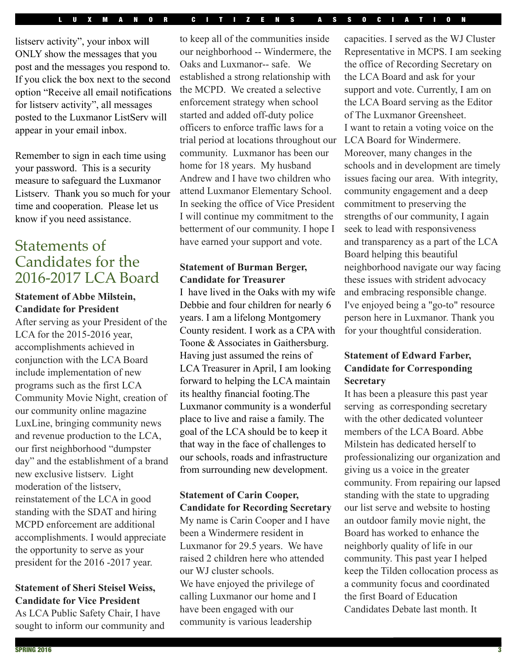listserv activity", your inbox will ONLY show the messages that you post and the messages you respond to. If you click the box next to the second option "Receive all email notifications for listserv activity", all messages posted to the Luxmanor ListServ will appear in your email inbox.

Remember to sign in each time using your password. This is a security measure to safeguard the Luxmanor Listserv. Thank you so much for your time and cooperation. Please let us know if you need assistance.

## Statements of Candidates for the 2016-2017 LCA Board

#### **Statement of Abbe Milstein, Candidate for President**

After serving as your President of the LCA for the 2015-2016 year, accomplishments achieved in conjunction with the LCA Board include implementation of new programs such as the first LCA Community Movie Night, creation of our community online magazine LuxLine, bringing community news and revenue production to the LCA, our first neighborhood "dumpster day" and the establishment of a brand new exclusive listserv. Light moderation of the listserv, reinstatement of the LCA in good standing with the SDAT and hiring MCPD enforcement are additional accomplishments. I would appreciate the opportunity to serve as your president for the 2016 -2017 year.

#### **Statement of Sheri Steisel Weiss, Candidate for Vice President**

As LCA Public Safety Chair, I have sought to inform our community and

to keep all of the communities inside our neighborhood -- Windermere, the Oaks and Luxmanor-- safe. We established a strong relationship with the MCPD. We created a selective enforcement strategy when school started and added off-duty police officers to enforce traffic laws for a trial period at locations throughout our community. Luxmanor has been our home for 18 years. My husband Andrew and I have two children who attend Luxmanor Elementary School. In seeking the office of Vice President I will continue my commitment to the betterment of our community. I hope I have earned your support and vote.

#### **Statement of Burman Berger, Candidate for Treasurer**

I have lived in the Oaks with my wife Debbie and four children for nearly 6 years. I am a lifelong Montgomery County resident. I work as a CPA with Toone & Associates in Gaithersburg. Having just assumed the reins of LCA Treasurer in April, I am looking forward to helping the LCA maintain its healthy financial footing.The Luxmanor community is a wonderful place to live and raise a family. The goal of the LCA should be to keep it that way in the face of challenges to our schools, roads and infrastructure from surrounding new development.

#### **Statement of Carin Cooper, Candidate for Recording Secretary**

My name is Carin Cooper and I have been a Windermere resident in Luxmanor for 29.5 years. We have raised 2 children here who attended our WJ cluster schools. We have enjoyed the privilege of calling Luxmanor our home and I have been engaged with our community is various leadership

capacities. I served as the WJ Cluster Representative in MCPS. I am seeking the office of Recording Secretary on the LCA Board and ask for your support and vote. Currently, I am on the LCA Board serving as the Editor of The Luxmanor Greensheet. I want to retain a voting voice on the LCA Board for Windermere. Moreover, many changes in the schools and in development are timely issues facing our area. With integrity, community engagement and a deep commitment to preserving the strengths of our community, I again seek to lead with responsiveness and transparency as a part of the LCA Board helping this beautiful neighborhood navigate our way facing these issues with strident advocacy and embracing responsible change. I've enjoyed being a "go-to" resource person here in Luxmanor. Thank you for your thoughtful consideration.

#### **Statement of Edward Farber, Candidate for Corresponding Secretary**

It has been a pleasure this past year serving as corresponding secretary with the other dedicated volunteer members of the LCA Board. Abbe Milstein has dedicated herself to professionalizing our organization and giving us a voice in the greater community. From repairing our lapsed standing with the state to upgrading our list serve and website to hosting an outdoor family movie night, the Board has worked to enhance the neighborly quality of life in our community. This past year I helped keep the Tilden collocation process as a community focus and coordinated the first Board of Education Candidates Debate last month. It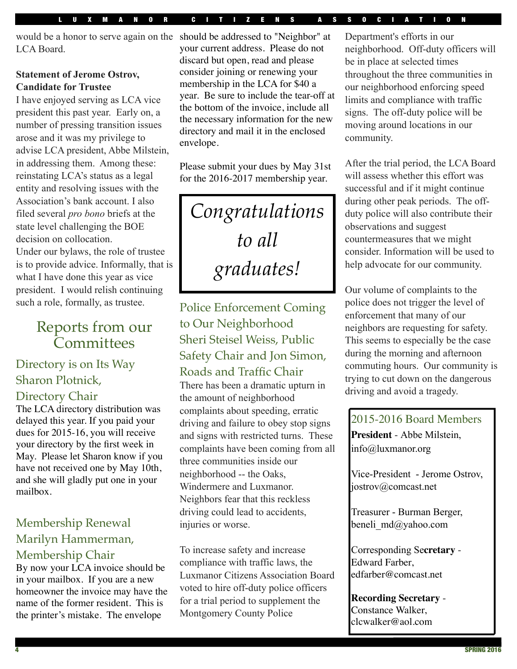would be a honor to serve again on the should be addressed to "Neighbor" at LCA Board.

#### **Statement of Jerome Ostrov, Candidate for Trustee**

I have enjoyed serving as LCA vice president this past year. Early on, a number of pressing transition issues arose and it was my privilege to advise LCA president, Abbe Milstein, in addressing them. Among these: reinstating LCA's status as a legal entity and resolving issues with the Association's bank account. I also filed several *pro bono* briefs at the state level challenging the BOE decision on collocation.

Under our bylaws, the role of trustee is to provide advice. Informally, that is what I have done this year as vice president. I would relish continuing such a role, formally, as trustee.

## Reports from our Committees

#### Directory is on Its Way Sharon Plotnick, Directory Chair

The LCA directory distribution was delayed this year. If you paid your dues for 2015-16, you will receive your directory by the first week in May. Please let Sharon know if you have not received one by May 10th, and she will gladly put one in your mailbox.

## Membership Renewal Marilyn Hammerman,

Membership Chair By now your LCA invoice should be in your mailbox. If you are a new homeowner the invoice may have the name of the former resident. This is the printer's mistake. The envelope

your current address. Please do not discard but open, read and please consider joining or renewing your membership in the LCA for \$40 a year. Be sure to include the tear-off at the bottom of the invoice, include all the necessary information for the new directory and mail it in the enclosed envelope.

Please submit your dues by May 31st for the 2016-2017 membership year.

*Congratulations to all graduates!*

Police Enforcement Coming to Our Neighborhood Sheri Steisel Weiss, Public Safety Chair and Jon Simon, Roads and Traffic Chair

There has been a dramatic upturn in the amount of neighborhood complaints about speeding, erratic driving and failure to obey stop signs and signs with restricted turns. These complaints have been coming from all three communities inside our neighborhood -- the Oaks, Windermere and Luxmanor. Neighbors fear that this reckless driving could lead to accidents, injuries or worse.

To increase safety and increase compliance with traffic laws, the Luxmanor Citizens Association Board voted to hire off-duty police officers for a trial period to supplement the Montgomery County Police

Department's efforts in our neighborhood. Off-duty officers will be in place at selected times throughout the three communities in our neighborhood enforcing speed limits and compliance with traffic signs. The off-duty police will be moving around locations in our community.

After the trial period, the LCA Board will assess whether this effort was successful and if it might continue during other peak periods. The offduty police will also contribute their observations and suggest countermeasures that we might consider. Information will be used to help advocate for our community.

Our volume of complaints to the police does not trigger the level of enforcement that many of our neighbors are requesting for safety. This seems to especially be the case during the morning and afternoon commuting hours. Our community is trying to cut down on the dangerous driving and avoid a tragedy.

2015-2016 Board Members **President** - Abbe Milstein, [info@luxmanor.org](mailto:info@luxmanor.org)

Vice-President - Jerome Ostrov, [jostrov@comcast.net](mailto:jostrov@comcast.net)

Treasurer - Burman Berger, beneli md@yahoo.com

Corresponding Se**cretary** - Edward Farber, [edfarber@comcast.net](mailto:edfarber@comcast.net)

**Recording Secretary** - Constance Walker, [clcwalker@aol.com](mailto:clcwalker@aol.com)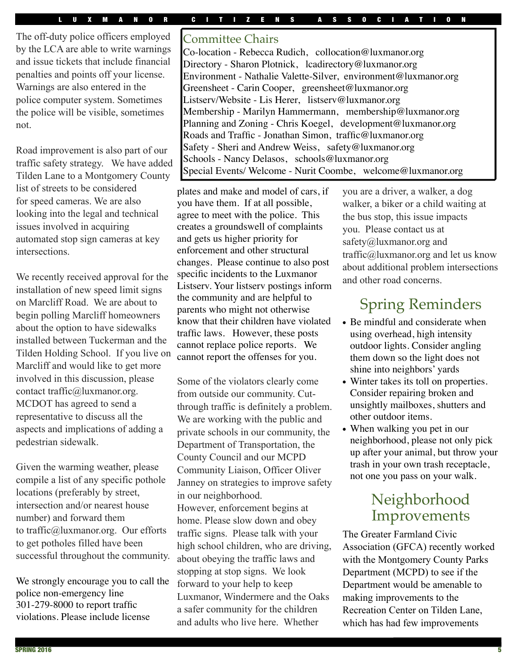The off-duty police officers employed by the LCA are able to write warnings and issue tickets that include financial penalties and points off your license. Warnings are also entered in the police computer system. Sometimes the police will be visible, sometimes not.

Road improvement is also part of our traffic safety strategy. We have added Tilden Lane to a Montgomery County list of streets to be considered for speed cameras. We are also looking into the legal and technical issues involved in acquiring automated stop sign cameras at key intersections.

We recently received approval for the installation of new speed limit signs on Marcliff Road. We are about to begin polling Marcliff homeowners about the option to have sidewalks installed between Tuckerman and the Tilden Holding School. If you live on Marcliff and would like to get more involved in this discussion, please contact traffic@luxmanor.org. MCDOT has agreed to send a representative to discuss all the aspects and implications of adding a pedestrian sidewalk.

Given the warming weather, please compile a list of any specific pothole locations (preferably by street, intersection and/or nearest house number) and forward them to traffic@luxmanor.org. Our efforts to get potholes filled have been successful throughout the community.

We strongly encourage you to call the police non-emergency line 301-279-8000 to report traffic violations. Please include license

#### Committee Chairs

Co-location - Rebecca Rudich, collocation@luxmanor.org Directory - Sharon Plotnick, lcadirectory@luxmanor.org Environment - Nathalie Valette-Silver, environment@luxmanor.org Greensheet - Carin Cooper, greensheet@luxmanor.org Listserv/Website - Lis Herer, [listserv@luxmanor.org](mailto:listserv@luxmanor.org)  Membership - Marilyn Hammermann, membership@luxmanor.org Planning and Zoning - Chris Koegel, development@luxmanor.org Roads and Traffic - Jonathan Simon, [traffic@luxmanor.org](mailto:traffic@luxmanor.org) Safety - Sheri and Andrew Weiss, safety@luxmanor.org Schools - Nancy Delasos, [schools@luxmanor.org](mailto:schools@luxmanor.org) Special Events/ Welcome - Nurit Coombe, welcome@luxmanor.org

plates and make and model of cars, if you have them. If at all possible, agree to meet with the police. This creates a groundswell of complaints and gets us higher priority for enforcement and other structural changes. Please continue to also post specific incidents to the Luxmanor Listserv. Your listserv postings inform the community and are helpful to parents who might not otherwise know that their children have violated traffic laws. However, these posts cannot replace police reports. We cannot report the offenses for you.

Some of the violators clearly come from outside our community. Cutthrough traffic is definitely a problem. We are working with the public and private schools in our community, the Department of Transportation, the County Council and our MCPD Community Liaison, Officer Oliver Janney on strategies to improve safety in our neighborhood.

However, enforcement begins at home. Please slow down and obey traffic signs. Please talk with your high school children, who are driving, about obeying the traffic laws and stopping at stop signs. We look forward to your help to keep Luxmanor, Windermere and the Oaks a safer community for the children and adults who live here. Whether

you are a driver, a walker, a dog walker, a biker or a child waiting at the bus stop, this issue impacts you. Please contact us at safety@luxmanor.org and traffic@luxmanor.org and let us know about additional problem intersections and other road concerns.

## Spring Reminders

- Be mindful and considerate when using overhead, high intensity outdoor lights. Consider angling them down so the light does not shine into neighbors' yards
- Winter takes its toll on properties. Consider repairing broken and unsightly mailboxes, shutters and other outdoor items.
- When walking you pet in our neighborhood, please not only pick up after your animal, but throw your trash in your own trash receptacle, not one you pass on your walk.

## Neighborhood Improvements

The Greater Farmland Civic Association (GFCA) recently worked with the Montgomery County Parks Department (MCPD) to see if the Department would be amenable to making improvements to the Recreation Center on Tilden Lane, which has had few improvements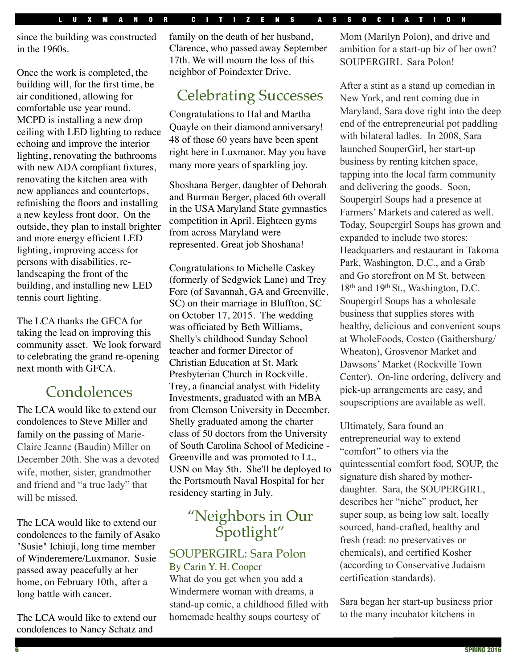since the building was constructed in the 1960s.

Once the work is completed, the building will, for the first time, be air conditioned, allowing for comfortable use year round. MCPD is installing a new drop ceiling with LED lighting to reduce echoing and improve the interior lighting, renovating the bathrooms with new ADA compliant fixtures, renovating the kitchen area with new appliances and countertops, refinishing the floors and installing a new keyless front door. On the outside, they plan to install brighter and more energy efficient LED lighting, improving access for persons with disabilities, relandscaping the front of the building, and installing new LED tennis court lighting.

The LCA thanks the GFCA for taking the lead on improving this community asset. We look forward to celebrating the grand re-opening next month with GFCA.

## **Condolences**

The LCA would like to extend our condolences to Steve Miller and family on the passing of Marie-Claire Jeanne (Baudin) Miller on December 20th. She was a devoted wife, mother, sister, grandmother and friend and "a true lady" that will be missed.

The LCA would like to extend our condolences to the family of Asako "Susie" Ichiuji, long time member of Winderemere/Luxmanor. Susie passed away peacefully at her home, on February 10th, after a long battle with cancer.

The LCA would like to extend our condolences to Nancy Schatz and

family on the death of her husband, Clarence, who passed away September 17th. We will mourn the loss of this neighbor of Poindexter Drive.

## Celebrating Successes

Congratulations to Hal and Martha Quayle on their diamond anniversary! 48 of those 60 years have been spent right here in Luxmanor. May you have many more years of sparkling joy.

Shoshana Berger, daughter of Deborah and Burman Berger, placed 6th overall in the USA Maryland State gymnastics competition in April. Eighteen gyms from across Maryland were represented. Great job Shoshana!

Congratulations to Michelle Caskey (formerly of Sedgwick Lane) and Trey Fore (of Savannah, GA and Greenville, SC) on their marriage in Bluffton, SC on October 17, 2015. The wedding was officiated by Beth Williams, Shelly's childhood Sunday School teacher and former Director of Christian Education at St. Mark Presbyterian Church in Rockville. Trey, a financial analyst with Fidelity Investments, graduated with an MBA from Clemson University in December. Shelly graduated among the charter class of 50 doctors from the University of South Carolina School of Medicine - Greenville and was promoted to Lt., USN on May 5th. She'll be deployed to the Portsmouth Naval Hospital for her residency starting in July.

## "Neighbors in Our Spotlight"

#### SOUPERGIRL: Sara Polon

By Carin Y. H. Cooper What do you get when you add a Windermere woman with dreams, a stand-up comic, a childhood filled with homemade healthy soups courtesy of

Mom (Marilyn Polon), and drive and ambition for a start-up biz of her own? SOUPERGIRL Sara Polon!

After a stint as a stand up comedian in New York, and rent coming due in Maryland, Sara dove right into the deep end of the entrepreneurial pot paddling with bilateral ladles. In 2008, Sara launched SouperGirl, her start-up business by renting kitchen space, tapping into the local farm community and delivering the goods. Soon, Soupergirl Soups had a presence at Farmers' Markets and catered as well. Today, Soupergirl Soups has grown and expanded to include two stores: Headquarters and restaurant in Takoma Park, Washington, D.C., and a Grab and Go storefront on M St. between 18<sup>th</sup> and 19<sup>th</sup> St., Washington, D.C. Soupergirl Soups has a wholesale business that supplies stores with healthy, delicious and convenient soups at WholeFoods, Costco (Gaithersburg/ Wheaton), Grosvenor Market and Dawsons' Market (Rockville Town Center). On-line ordering, delivery and pick-up arrangements are easy, and soupscriptions are available as well.

Ultimately, Sara found an entrepreneurial way to extend "comfort" to others via the quintessential comfort food, SOUP, the signature dish shared by motherdaughter. Sara, the SOUPERGIRL, describes her "niche" product, her super soup, as being low salt, locally sourced, hand-crafted, healthy and fresh (read: no preservatives or chemicals), and certified Kosher (according to Conservative Judaism certification standards).

Sara began her start-up business prior to the many incubator kitchens in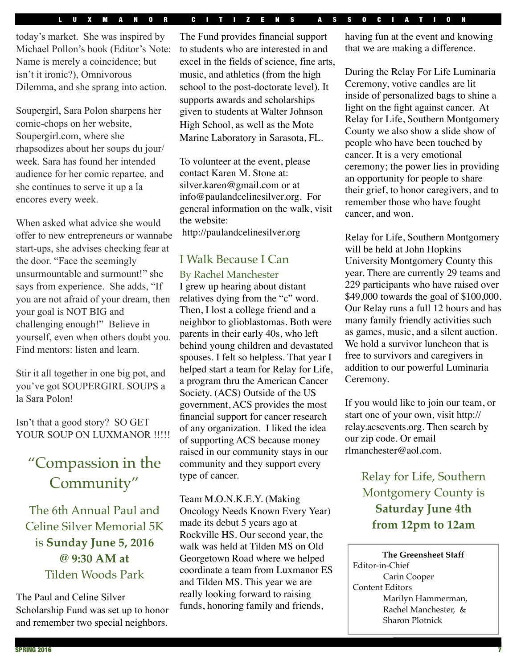#### LUXMANOR CITIZENS ASSOCIATION

today's market. She was inspired by Michael Pollon's book (Editor's Note: Name is merely a coincidence; but isn't it ironic?), Omnivorous Dilemma, and she sprang into action.

Soupergirl, Sara Polon sharpens her comic-chops on her website, Soupergirl.com, where she rhapsodizes about her soups du jour/ week. Sara has found her intended audience for her comic repartee, and she continues to serve it up a la encores every week.

When asked what advice she would offer to new entrepreneurs or wannabe start-ups, she advises checking fear at the door. "Face the seemingly unsurmountable and surmount!" she says from experience. She adds, "If you are not afraid of your dream, then your goal is NOT BIG and challenging enough!" Believe in yourself, even when others doubt you. Find mentors: listen and learn.

Stir it all together in one big pot, and you've got SOUPERGIRL SOUPS a la Sara Polon!

Isn't that a good story? SO GET YOUR SOUP ON LUXMANOR !!!!!

## "Compassion in the Community"

The 6th Annual Paul and Celine Silver Memorial 5K is **Sunday June 5, 2016 @ 9:30 AM at**  Tilden Woods Park

The Paul and Celine Silver Scholarship Fund was set up to honor and remember two special neighbors.

The Fund provides financial support to students who are interested in and excel in the fields of science, fine arts, music, and athletics (from the high school to the post-doctorate level). It supports awards and scholarships given to students at [Walter Johnson](http://www.montgomeryschoolsmd.org/schools/wjhs/)  [High School,](http://www.montgomeryschoolsmd.org/schools/wjhs/) as well as the [Mote](http://paulandcelinesilver.org/home#mce_temp_url%23)  [Marine Laboratory](http://paulandcelinesilver.org/home#mce_temp_url%23) in Sarasota, FL.

To volunteer at the event, please contact Karen M. Stone at: silver.karen@gmail.com or at info@paulandcelinesilver.org. For general information on the walk, visit the website: http://paulandcelinesilver.org

#### I Walk Because I Can

#### By Rachel Manchester

I grew up hearing about distant relatives dying from the "c" word. Then, I lost a college friend and a neighbor to glioblastomas. Both were parents in their early 40s, who left behind young children and devastated spouses. I felt so helpless. That year I helped start a team for Relay for Life, a program thru the American Cancer Society. (ACS) Outside of the US government, ACS provides the most financial support for cancer research of any organization. I liked the idea of supporting ACS because money raised in our community stays in our community and they support every type of cancer.

Team M.O.N.K.E.Y. (Making Oncology Needs Known Every Year) made its debut 5 years ago at Rockville HS. Our second year, the walk was held at Tilden MS on Old Georgetown Road where we helped coordinate a team from Luxmanor ES and Tilden MS. This year we are really looking forward to raising funds, honoring family and friends,

having fun at the event and knowing that we are making a difference.

During the Relay For Life Luminaria Ceremony, votive candles are lit inside of personalized bags to shine a light on the fight against cancer. At Relay for Life, Southern Montgomery County we also show a slide show of people who have been touched by cancer. It is a very emotional ceremony; the power lies in providing an opportunity for people to share their grief, to honor caregivers, and to remember those who have fought cancer, and won.

Relay for Life, Southern Montgomery will be held at John Hopkins University Montgomery County this year. There are currently 29 teams and 229 participants who have raised over \$49,000 towards the goal of \$100,000. Our Relay runs a full 12 hours and has many family friendly activities such as games, music, and a silent auction. We hold a survivor luncheon that is free to survivors and caregivers in addition to our powerful Luminaria Ceremony.

If you would like to join our team, or start one of your own, visit http:// relay.acsevents.org. Then search by our zip code. Or email rlmanchester@aol.com.

> Relay for Life, Southern Montgomery County is **Saturday June 4th from 12pm to 12am**

**The Greensheet Staff** Editor-in-Chief Carin Cooper Content Editors Marilyn Hammerman, Rachel Manchester, & Sharon Plotnick